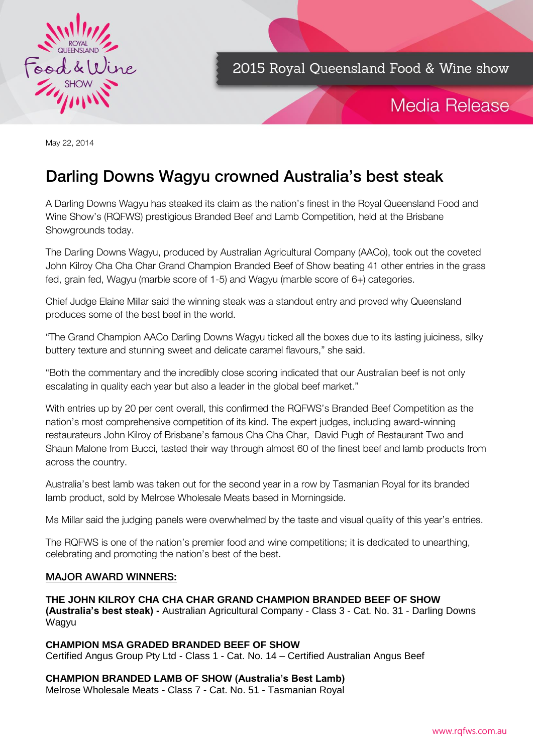

2015 Royal Queensland Food & Wine show

# **Media Release**

May 22, 2014

## Darling Downs Wagyu crowned Australia's best steak

A Darling Downs Wagyu has steaked its claim as the nation's finest in the Royal Queensland Food and Wine Show's (RQFWS) prestigious Branded Beef and Lamb Competition, held at the Brisbane Showgrounds today.

The Darling Downs Wagyu, produced by Australian Agricultural Company (AACo), took out the coveted John Kilroy Cha Cha Char Grand Champion Branded Beef of Show beating 41 other entries in the grass fed, grain fed, Wagyu (marble score of 1-5) and Wagyu (marble score of 6+) categories.

Chief Judge Elaine Millar said the winning steak was a standout entry and proved why Queensland produces some of the best beef in the world.

"The Grand Champion AACo Darling Downs Wagyu ticked all the boxes due to its lasting juiciness, silky buttery texture and stunning sweet and delicate caramel flavours," she said.

"Both the commentary and the incredibly close scoring indicated that our Australian beef is not only escalating in quality each year but also a leader in the global beef market."

With entries up by 20 per cent overall, this confirmed the RQFWS's Branded Beef Competition as the nation's most comprehensive competition of its kind. The expert judges, including award-winning restaurateurs John Kilroy of Brisbane's famous Cha Cha Char, David Pugh of Restaurant Two and Shaun Malone from Bucci, tasted their way through almost 60 of the finest beef and lamb products from across the country.

Australia's best lamb was taken out for the second year in a row by Tasmanian Royal for its branded lamb product, sold by Melrose Wholesale Meats based in Morningside.

Ms Millar said the judging panels were overwhelmed by the taste and visual quality of this year's entries.

The RQFWS is one of the nation's premier food and wine competitions; it is dedicated to unearthing, celebrating and promoting the nation's best of the best.

### MAJOR AWARD WINNERS:

**THE JOHN KILROY CHA CHA CHAR GRAND CHAMPION BRANDED BEEF OF SHOW (Australia's best steak) -** Australian Agricultural Company - Class 3 - Cat. No. 31 - Darling Downs Wagyu

**CHAMPION MSA GRADED BRANDED BEEF OF SHOW** Certified Angus Group Pty Ltd - Class 1 - Cat. No. 14 – Certified Australian Angus Beef

**CHAMPION BRANDED LAMB OF SHOW (Australia's Best Lamb)**

Melrose Wholesale Meats - Class 7 - Cat. No. 51 - Tasmanian Royal